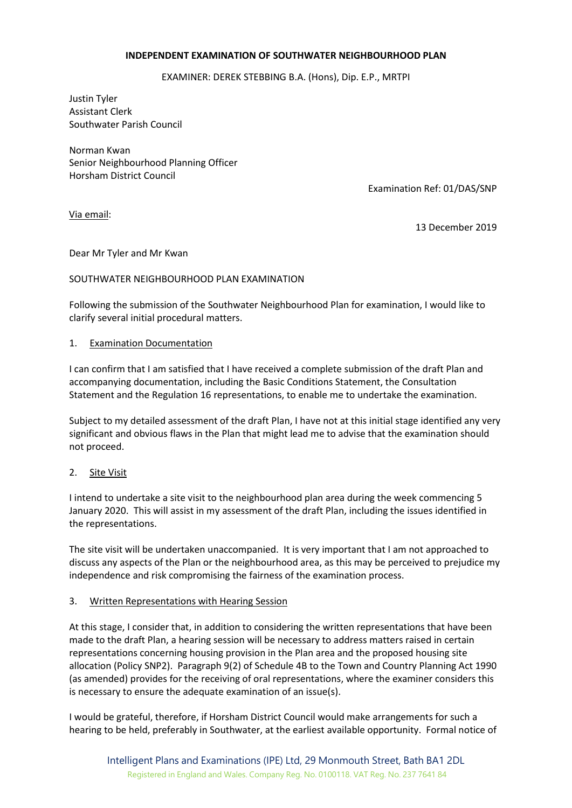## **INDEPENDENT EXAMINATION OF SOUTHWATER NEIGHBOURHOOD PLAN**

EXAMINER: DEREK STEBBING B.A. (Hons), Dip. E.P., MRTPI

Justin Tyler Assistant Clerk Southwater Parish Council

Norman Kwan Senior Neighbourhood Planning Officer Horsham District Council

Examination Ref: 01/DAS/SNP

Via email:

13 December 2019

Dear Mr Tyler and Mr Kwan

## SOUTHWATER NEIGHBOURHOOD PLAN EXAMINATION

Following the submission of the Southwater Neighbourhood Plan for examination, I would like to clarify several initial procedural matters.

## 1. Examination Documentation

I can confirm that I am satisfied that I have received a complete submission of the draft Plan and accompanying documentation, including the Basic Conditions Statement, the Consultation Statement and the Regulation 16 representations, to enable me to undertake the examination.

Subject to my detailed assessment of the draft Plan, I have not at this initial stage identified any very significant and obvious flaws in the Plan that might lead me to advise that the examination should not proceed.

# 2. Site Visit

I intend to undertake a site visit to the neighbourhood plan area during the week commencing 5 January 2020. This will assist in my assessment of the draft Plan, including the issues identified in the representations.

The site visit will be undertaken unaccompanied. It is very important that I am not approached to discuss any aspects of the Plan or the neighbourhood area, as this may be perceived to prejudice my independence and risk compromising the fairness of the examination process.

#### 3. Written Representations with Hearing Session

At this stage, I consider that, in addition to considering the written representations that have been made to the draft Plan, a hearing session will be necessary to address matters raised in certain representations concerning housing provision in the Plan area and the proposed housing site allocation (Policy SNP2). Paragraph 9(2) of Schedule 4B to the Town and Country Planning Act 1990 (as amended) provides for the receiving of oral representations, where the examiner considers this is necessary to ensure the adequate examination of an issue(s).

I would be grateful, therefore, if Horsham District Council would make arrangements for such a hearing to be held, preferably in Southwater, at the earliest available opportunity. Formal notice of